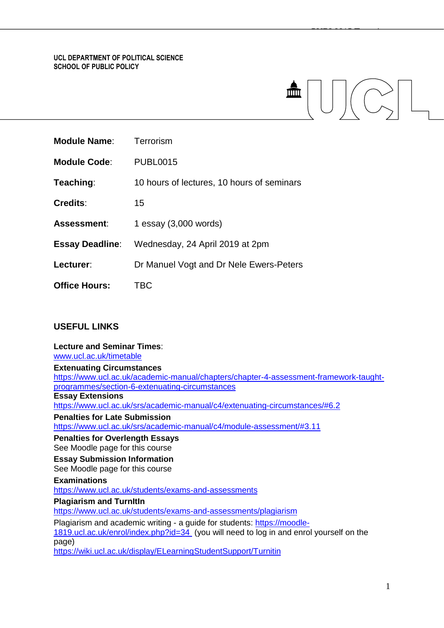## **UCL DEPARTMENT OF POLITICAL SCIENCE SCHOOL OF PUBLIC POLICY**

| <b>Module Name:</b>    | Terrorism                                  |
|------------------------|--------------------------------------------|
| <b>Module Code:</b>    | <b>PUBL0015</b>                            |
| Teaching:              | 10 hours of lectures, 10 hours of seminars |
| <b>Credits:</b>        | 15                                         |
| Assessment:            | 1 essay (3,000 words)                      |
| <b>Essay Deadline:</b> | Wednesday, 24 April 2019 at 2pm            |
| Lecturer:              | Dr Manuel Vogt and Dr Nele Ewers-Peters    |
| <b>Office Hours:</b>   | <b>TBC</b>                                 |
|                        |                                            |

# **USEFUL LINKS**

# **Lecture and Seminar Times**: [www.ucl.ac.uk/timetable](http://www.ucl.ac.uk/timetable) **Extenuating Circumstances** [https://www.ucl.ac.uk/academic-manual/chapters/chapter-4-assessment-framework-taught](https://www.ucl.ac.uk/academic-manual/chapters/chapter-4-assessment-framework-taught-programmes/section-6-extenuating-circumstances)[programmes/section-6-extenuating-circumstances](https://www.ucl.ac.uk/academic-manual/chapters/chapter-4-assessment-framework-taught-programmes/section-6-extenuating-circumstances) **Essay Extensions** <https://www.ucl.ac.uk/srs/academic-manual/c4/extenuating-circumstances/#6.2> **Penalties for Late Submission** <https://www.ucl.ac.uk/srs/academic-manual/c4/module-assessment/#3.11> **Penalties for Overlength Essays**  See Moodle page for this course **Essay Submission Information**  See Moodle page for this course **Examinations** <https://www.ucl.ac.uk/students/exams-and-assessments> **Plagiarism and TurnItIn** <https://www.ucl.ac.uk/students/exams-and-assessments/plagiarism> Plagiarism and academic writing - a guide for students: [https://moodle-](https://moodle-1819.ucl.ac.uk/enrol/index.php?id=34)[1819.ucl.ac.uk/enrol/index.php?id=34](https://moodle-1819.ucl.ac.uk/enrol/index.php?id=34) (you will need to log in and enrol yourself on the page) <https://wiki.ucl.ac.uk/display/ELearningStudentSupport/Turnitin>

<del>PUBLIC TERRI</del>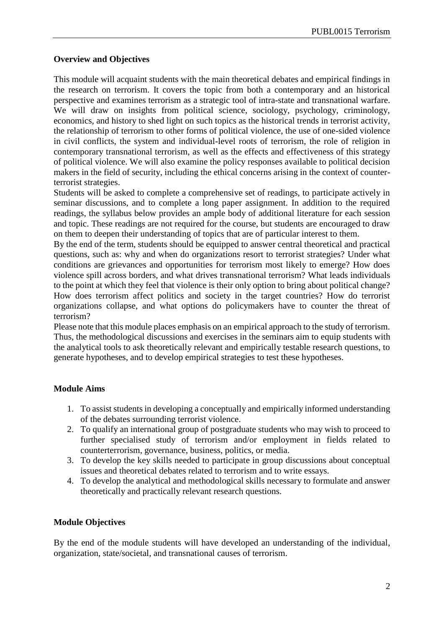# **Overview and Objectives**

This module will acquaint students with the main theoretical debates and empirical findings in the research on terrorism. It covers the topic from both a contemporary and an historical perspective and examines terrorism as a strategic tool of intra-state and transnational warfare. We will draw on insights from political science, sociology, psychology, criminology, economics, and history to shed light on such topics as the historical trends in terrorist activity, the relationship of terrorism to other forms of political violence, the use of one-sided violence in civil conflicts, the system and individual-level roots of terrorism, the role of religion in contemporary transnational terrorism, as well as the effects and effectiveness of this strategy of political violence. We will also examine the policy responses available to political decision makers in the field of security, including the ethical concerns arising in the context of counterterrorist strategies.

Students will be asked to complete a comprehensive set of readings, to participate actively in seminar discussions, and to complete a long paper assignment. In addition to the required readings, the syllabus below provides an ample body of additional literature for each session and topic. These readings are not required for the course, but students are encouraged to draw on them to deepen their understanding of topics that are of particular interest to them.

By the end of the term, students should be equipped to answer central theoretical and practical questions, such as: why and when do organizations resort to terrorist strategies? Under what conditions are grievances and opportunities for terrorism most likely to emerge? How does violence spill across borders, and what drives transnational terrorism? What leads individuals to the point at which they feel that violence is their only option to bring about political change? How does terrorism affect politics and society in the target countries? How do terrorist organizations collapse, and what options do policymakers have to counter the threat of terrorism?

Please note that this module places emphasis on an empirical approach to the study of terrorism. Thus, the methodological discussions and exercises in the seminars aim to equip students with the analytical tools to ask theoretically relevant and empirically testable research questions, to generate hypotheses, and to develop empirical strategies to test these hypotheses.

# **Module Aims**

- 1. To assist students in developing a conceptually and empirically informed understanding of the debates surrounding terrorist violence.
- 2. To qualify an international group of postgraduate students who may wish to proceed to further specialised study of terrorism and/or employment in fields related to counterterrorism, governance, business, politics, or media.
- 3. To develop the key skills needed to participate in group discussions about conceptual issues and theoretical debates related to terrorism and to write essays.
- 4. To develop the analytical and methodological skills necessary to formulate and answer theoretically and practically relevant research questions.

# **Module Objectives**

By the end of the module students will have developed an understanding of the individual, organization, state/societal, and transnational causes of terrorism.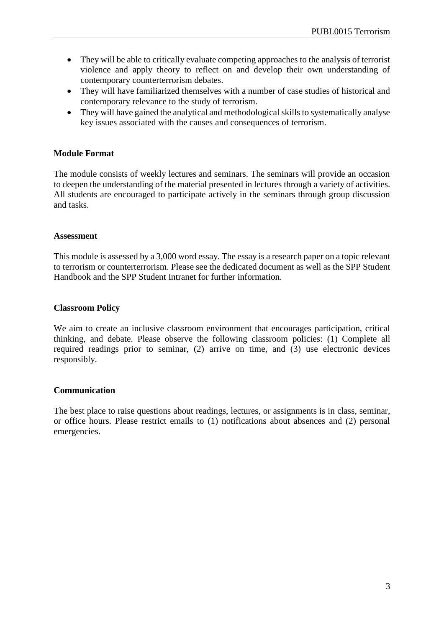- They will be able to critically evaluate competing approaches to the analysis of terrorist violence and apply theory to reflect on and develop their own understanding of contemporary counterterrorism debates.
- They will have familiarized themselves with a number of case studies of historical and contemporary relevance to the study of terrorism.
- They will have gained the analytical and methodological skills to systematically analyse key issues associated with the causes and consequences of terrorism.

# **Module Format**

The module consists of weekly lectures and seminars. The seminars will provide an occasion to deepen the understanding of the material presented in lectures through a variety of activities. All students are encouraged to participate actively in the seminars through group discussion and tasks.

## **Assessment**

This module is assessed by a 3,000 word essay. The essay is a research paper on a topic relevant to terrorism or counterterrorism. Please see the dedicated document as well as the SPP Student Handbook and the SPP Student Intranet for further information.

# **Classroom Policy**

We aim to create an inclusive classroom environment that encourages participation, critical thinking, and debate. Please observe the following classroom policies: (1) Complete all required readings prior to seminar, (2) arrive on time, and (3) use electronic devices responsibly.

# **Communication**

The best place to raise questions about readings, lectures, or assignments is in class, seminar, or office hours. Please restrict emails to (1) notifications about absences and (2) personal emergencies.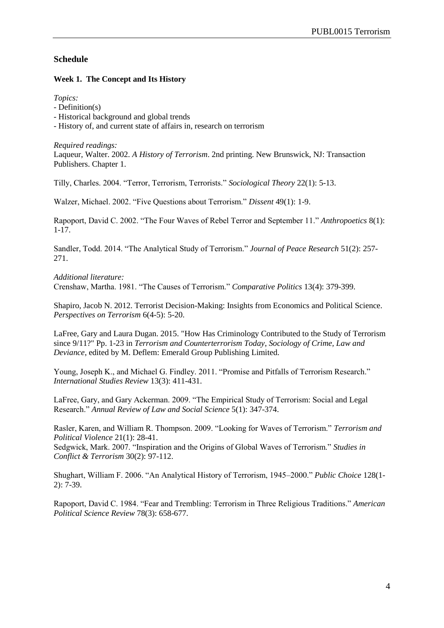# **Schedule**

# **Week 1. The Concept and Its History**

*Topics:*

- Definition(s)
- Historical background and global trends

- History of, and current state of affairs in, research on terrorism

*Required readings:* Laqueur, Walter. 2002. *A History of Terrorism*. 2nd printing. New Brunswick, NJ: Transaction Publishers. Chapter 1.

Tilly, Charles. 2004. "Terror, Terrorism, Terrorists." *Sociological Theory* 22(1): 5-13.

Walzer, Michael. 2002. "Five Questions about Terrorism." *Dissent* 49(1): 1-9.

Rapoport, David C. 2002. "The Four Waves of Rebel Terror and September 11." *Anthropoetics* 8(1): 1-17.

Sandler, Todd. 2014. "The Analytical Study of Terrorism." *Journal of Peace Research* 51(2): 257- 271.

*Additional literature:* Crenshaw, Martha. 1981. "The Causes of Terrorism." *Comparative Politics* 13(4): 379-399.

Shapiro, Jacob N. 2012. Terrorist Decision-Making: Insights from Economics and Political Science. *Perspectives on Terrorism* 6(4-5): 5-20.

LaFree, Gary and Laura Dugan. 2015. "How Has Criminology Contributed to the Study of Terrorism since 9/11?" Pp. 1-23 in *Terrorism and Counterterrorism Today*, *Sociology of Crime, Law and Deviance*, edited by M. Deflem: Emerald Group Publishing Limited.

Young, Joseph K., and Michael G. Findley. 2011. "Promise and Pitfalls of Terrorism Research." *International Studies Review* 13(3): 411-431.

LaFree, Gary, and Gary Ackerman. 2009. "The Empirical Study of Terrorism: Social and Legal Research." *Annual Review of Law and Social Science* 5(1): 347-374.

Rasler, Karen, and William R. Thompson. 2009. "Looking for Waves of Terrorism." *Terrorism and Political Violence* 21(1): 28-41.

Sedgwick, Mark. 2007. "Inspiration and the Origins of Global Waves of Terrorism." *Studies in Conflict & Terrorism* 30(2): 97-112.

Shughart, William F. 2006. "An Analytical History of Terrorism, 1945–2000." *Public Choice* 128(1- 2): 7-39.

Rapoport, David C. 1984. "Fear and Trembling: Terrorism in Three Religious Traditions." *American Political Science Review* 78(3): 658-677.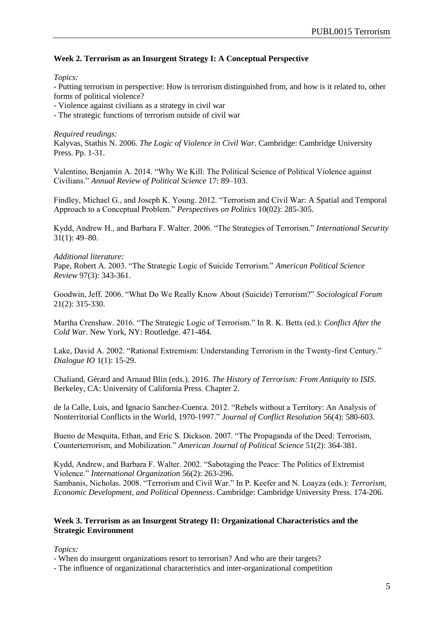# **Week 2. Terrorism as an Insurgent Strategy I: A Conceptual Perspective**

*Topics:*

- Putting terrorism in perspective: How is terrorism distinguished from, and how is it related to, other forms of political violence?

- Violence against civilians as a strategy in civil war

- The strategic functions of terrorism outside of civil war

*Required readings:*

Kalyvas, Stathis N. 2006. *The Logic of Violence in Civil War*. Cambridge: Cambridge University Press. Pp. 1-31.

Valentino, Benjamin A. 2014. "Why We Kill: The Political Science of Political Violence against Civilians." *Annual Review of Political Science* 17: 89–103.

Findley, Michael G., and Joseph K. Young. 2012. "Terrorism and Civil War: A Spatial and Temporal Approach to a Conceptual Problem." *Perspectives on Politics* 10(02): 285-305.

Kydd, Andrew H., and Barbara F. Walter. 2006. "The Strategies of Terrorism." *International Security* 31(1): 49–80.

### *Additional literature:*

Pape, Robert A. 2003. "The Strategic Logic of Suicide Terrorism." *American Political Science Review* 97(3): 343-361.

Goodwin, Jeff. 2006. "What Do We Really Know About (Suicide) Terrorism?" *Sociological Forum* 21(2): 315-330.

Martha Crenshaw. 2016. "The Strategic Logic of Terrorism." In R. K. Betts (ed.): *Conflict After the Cold War*. New York, NY: Routledge. 471-484.

Lake, David A. 2002. "Rational Extremism: Understanding Terrorism in the Twenty-first Century." *Dialogue IO* 1(1): 15-29.

Chaliand, Gérard and Arnaud Blin (eds.). 2016. *The History of Terrorism: From Antiquity to ISIS*. Berkeley, CA: University of California Press. Chapter 2.

de la Calle, Luis, and Ignacio Sanchez-Cuenca. 2012. "Rebels without a Territory: An Analysis of Nonterritorial Conflicts in the World, 1970-1997." *Journal of Conflict Resolution* 56(4): 580-603.

Bueno de Mesquita, Ethan, and Eric S. Dickson. 2007. "The Propaganda of the Deed: Terrorism, Counterterrorism, and Mobilization." *American Journal of Political Science* 51(2): 364-381.

Kydd, Andrew, and Barbara F. Walter. 2002. "Sabotaging the Peace: The Politics of Extremist Violence." *International Organization* 56(2): 263-296.

Sambanis, Nicholas. 2008. "Terrorism and Civil War." In P. Keefer and N. Loayza (eds.): *Terrorism, Economic Development, and Political Openness*. Cambridge: Cambridge University Press. 174-206.

## **Week 3. Terrorism as an Insurgent Strategy II: Organizational Characteristics and the Strategic Environment**

*Topics:*

- When do insurgent organizations resort to terrorism? And who are their targets?

- The influence of organizational characteristics and inter-organizational competition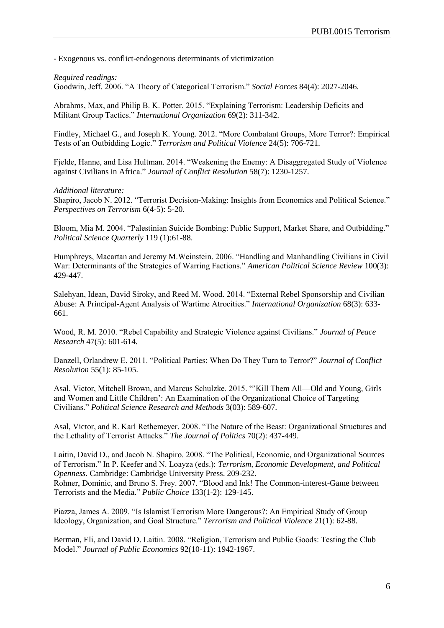- Exogenous vs. conflict-endogenous determinants of victimization

### *Required readings:*

Goodwin, Jeff. 2006. "A Theory of Categorical Terrorism." *Social Forces* 84(4): 2027-2046.

Abrahms, Max, and Philip B. K. Potter. 2015. "Explaining Terrorism: Leadership Deficits and Militant Group Tactics." *International Organization* 69(2): 311-342.

Findley, Michael G., and Joseph K. Young. 2012. "More Combatant Groups, More Terror?: Empirical Tests of an Outbidding Logic." *Terrorism and Political Violence* 24(5): 706-721.

Fjelde, Hanne, and Lisa Hultman. 2014. "Weakening the Enemy: A Disaggregated Study of Violence against Civilians in Africa." *Journal of Conflict Resolution* 58(7): 1230-1257.

#### *Additional literature:*

Shapiro, Jacob N. 2012. "Terrorist Decision-Making: Insights from Economics and Political Science." *Perspectives on Terrorism* 6(4-5): 5-20.

Bloom, Mia M. 2004. "Palestinian Suicide Bombing: Public Support, Market Share, and Outbidding." *Political Science Quarterly* 119 (1):61-88.

Humphreys, Macartan and Jeremy M.Weinstein. 2006. "Handling and Manhandling Civilians in Civil War: Determinants of the Strategies of Warring Factions." *American Political Science Review* 100(3): 429-447.

Salehyan, Idean, David Siroky, and Reed M. Wood. 2014. "External Rebel Sponsorship and Civilian Abuse: A Principal-Agent Analysis of Wartime Atrocities." *International Organization* 68(3): 633- 661.

Wood, R. M. 2010. "Rebel Capability and Strategic Violence against Civilians." *Journal of Peace Research* 47(5): 601-614.

Danzell, Orlandrew E. 2011. "Political Parties: When Do They Turn to Terror?" *Journal of Conflict Resolution* 55(1): 85-105.

Asal, Victor, Mitchell Brown, and Marcus Schulzke. 2015. "'Kill Them All—Old and Young, Girls and Women and Little Children': An Examination of the Organizational Choice of Targeting Civilians." *Political Science Research and Methods* 3(03): 589-607.

Asal, Victor, and R. Karl Rethemeyer. 2008. "The Nature of the Beast: Organizational Structures and the Lethality of Terrorist Attacks." *The Journal of Politics* 70(2): 437-449.

Laitin, David D., and Jacob N. Shapiro. 2008. "The Political, Economic, and Organizational Sources of Terrorism." In P. Keefer and N. Loayza (eds.): *Terrorism, Economic Development, and Political Openness*. Cambridge: Cambridge University Press. 209-232. Rohner, Dominic, and Bruno S. Frey. 2007. "Blood and Ink! The Common-interest-Game between Terrorists and the Media." *Public Choice* 133(1-2): 129-145.

Piazza, James A. 2009. "Is Islamist Terrorism More Dangerous?: An Empirical Study of Group Ideology, Organization, and Goal Structure." *Terrorism and Political Violence* 21(1): 62-88.

Berman, Eli, and David D. Laitin. 2008. "Religion, Terrorism and Public Goods: Testing the Club Model." *Journal of Public Economics* 92(10-11): 1942-1967.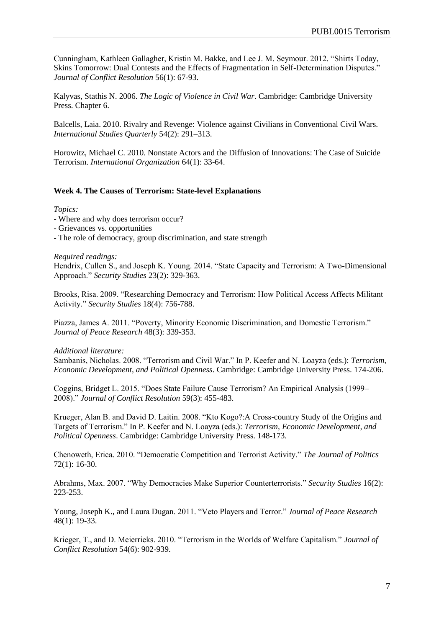Cunningham, Kathleen Gallagher, Kristin M. Bakke, and Lee J. M. Seymour. 2012. "Shirts Today, Skins Tomorrow: Dual Contests and the Effects of Fragmentation in Self-Determination Disputes." *Journal of Conflict Resolution* 56(1): 67-93.

Kalyvas, Stathis N. 2006. *The Logic of Violence in Civil War*. Cambridge: Cambridge University Press. Chapter 6.

Balcells, Laia. 2010. Rivalry and Revenge: Violence against Civilians in Conventional Civil Wars. *International Studies Quarterly* 54(2): 291–313.

Horowitz, Michael C. 2010. Nonstate Actors and the Diffusion of Innovations: The Case of Suicide Terrorism. *International Organization* 64(1): 33-64.

# **Week 4. The Causes of Terrorism: State-level Explanations**

### *Topics:*

- Where and why does terrorism occur?
- Grievances vs. opportunities
- The role of democracy, group discrimination, and state strength

### *Required readings:*

Hendrix, Cullen S., and Joseph K. Young. 2014. "State Capacity and Terrorism: A Two-Dimensional Approach." *Security Studies* 23(2): 329-363.

Brooks, Risa. 2009. "Researching Democracy and Terrorism: How Political Access Affects Militant Activity." *Security Studies* 18(4): 756-788.

Piazza, James A. 2011. "Poverty, Minority Economic Discrimination, and Domestic Terrorism." *Journal of Peace Research* 48(3): 339-353.

#### *Additional literature:*

Sambanis, Nicholas. 2008. "Terrorism and Civil War." In P. Keefer and N. Loayza (eds.): *Terrorism, Economic Development, and Political Openness*. Cambridge: Cambridge University Press. 174-206.

Coggins, Bridget L. 2015. "Does State Failure Cause Terrorism? An Empirical Analysis (1999– 2008)." *Journal of Conflict Resolution* 59(3): 455-483.

Krueger, Alan B. and David D. Laitin. 2008. "Kto Kogo?:A Cross-country Study of the Origins and Targets of Terrorism." In P. Keefer and N. Loayza (eds.): *Terrorism, Economic Development, and Political Openness*. Cambridge: Cambridge University Press. 148-173.

Chenoweth, Erica. 2010. "Democratic Competition and Terrorist Activity." *The Journal of Politics* 72(1): 16-30.

Abrahms, Max. 2007. "Why Democracies Make Superior Counterterrorists." *Security Studies* 16(2): 223-253.

Young, Joseph K., and Laura Dugan. 2011. "Veto Players and Terror." *Journal of Peace Research* 48(1): 19-33.

Krieger, T., and D. Meierrieks. 2010. "Terrorism in the Worlds of Welfare Capitalism." *Journal of Conflict Resolution* 54(6): 902-939.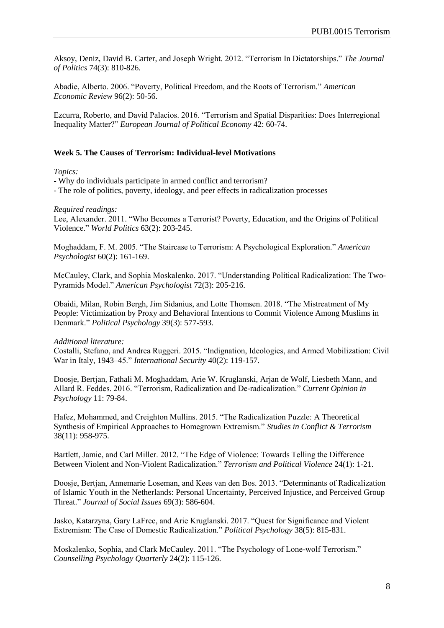Aksoy, Deniz, David B. Carter, and Joseph Wright. 2012. "Terrorism In Dictatorships." *The Journal of Politics* 74(3): 810-826.

Abadie, Alberto. 2006. "Poverty, Political Freedom, and the Roots of Terrorism." *American Economic Review* 96(2): 50-56.

Ezcurra, Roberto, and David Palacios. 2016. "Terrorism and Spatial Disparities: Does Interregional Inequality Matter?" *European Journal of Political Economy* 42: 60-74.

### **Week 5. The Causes of Terrorism: Individual-level Motivations**

#### *Topics:*

- Why do individuals participate in armed conflict and terrorism?

- The role of politics, poverty, ideology, and peer effects in radicalization processes

*Required readings:*

Lee, Alexander. 2011. "Who Becomes a Terrorist? Poverty, Education, and the Origins of Political Violence." *World Politics* 63(2): 203-245.

Moghaddam, F. M. 2005. "The Staircase to Terrorism: A Psychological Exploration." *American Psychologist* 60(2): 161-169.

McCauley, Clark, and Sophia Moskalenko. 2017. "Understanding Political Radicalization: The Two-Pyramids Model." *American Psychologist* 72(3): 205-216.

Obaidi, Milan, Robin Bergh, Jim Sidanius, and Lotte Thomsen. 2018. "The Mistreatment of My People: Victimization by Proxy and Behavioral Intentions to Commit Violence Among Muslims in Denmark." *Political Psychology* 39(3): 577-593.

#### *Additional literature:*

Costalli, Stefano, and Andrea Ruggeri. 2015. "Indignation, Ideologies, and Armed Mobilization: Civil War in Italy, 1943–45." *International Security* 40(2): 119-157.

Doosje, Bertjan, Fathali M. Moghaddam, Arie W. Kruglanski, Arjan de Wolf, Liesbeth Mann, and Allard R. Feddes. 2016. "Terrorism, Radicalization and De-radicalization." *Current Opinion in Psychology* 11: 79-84.

Hafez, Mohammed, and Creighton Mullins. 2015. "The Radicalization Puzzle: A Theoretical Synthesis of Empirical Approaches to Homegrown Extremism." *Studies in Conflict & Terrorism* 38(11): 958-975.

Bartlett, Jamie, and Carl Miller. 2012. "The Edge of Violence: Towards Telling the Difference Between Violent and Non-Violent Radicalization." *Terrorism and Political Violence* 24(1): 1-21.

Doosje, Bertjan, Annemarie Loseman, and Kees van den Bos. 2013. "Determinants of Radicalization of Islamic Youth in the Netherlands: Personal Uncertainty, Perceived Injustice, and Perceived Group Threat." *Journal of Social Issues* 69(3): 586-604.

Jasko, Katarzyna, Gary LaFree, and Arie Kruglanski. 2017. "Quest for Significance and Violent Extremism: The Case of Domestic Radicalization." *Political Psychology* 38(5): 815-831.

Moskalenko, Sophia, and Clark McCauley. 2011. "The Psychology of Lone-wolf Terrorism." *Counselling Psychology Quarterly* 24(2): 115-126.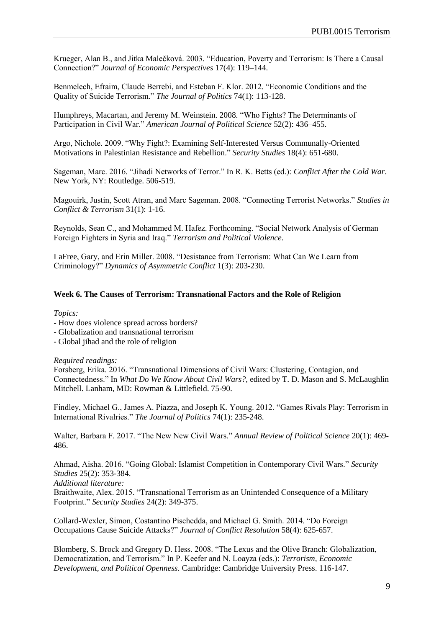Krueger, Alan B., and Jitka Malečková. 2003. "Education, Poverty and Terrorism: Is There a Causal Connection?" *Journal of Economic Perspectives* 17(4): 119–144.

Benmelech, Efraim, Claude Berrebi, and Esteban F. Klor. 2012. "Economic Conditions and the Quality of Suicide Terrorism." *The Journal of Politics* 74(1): 113-128.

Humphreys, Macartan, and Jeremy M. Weinstein. 2008. "Who Fights? The Determinants of Participation in Civil War." *American Journal of Political Science* 52(2): 436–455.

Argo, Nichole. 2009. "Why Fight?: Examining Self-Interested Versus Communally-Oriented Motivations in Palestinian Resistance and Rebellion." *Security Studies* 18(4): 651-680.

Sageman, Marc. 2016. "Jihadi Networks of Terror." In R. K. Betts (ed.): *Conflict After the Cold War*. New York, NY: Routledge. 506-519.

Magouirk, Justin, Scott Atran, and Marc Sageman. 2008. "Connecting Terrorist Networks." *Studies in Conflict & Terrorism* 31(1): 1-16.

Reynolds, Sean C., and Mohammed M. Hafez. Forthcoming. "Social Network Analysis of German Foreign Fighters in Syria and Iraq." *Terrorism and Political Violence*.

LaFree, Gary, and Erin Miller. 2008. "Desistance from Terrorism: What Can We Learn from Criminology?" *Dynamics of Asymmetric Conflict* 1(3): 203-230.

### **Week 6. The Causes of Terrorism: Transnational Factors and the Role of Religion**

*Topics:*

- How does violence spread across borders?
- Globalization and transnational terrorism
- Global jihad and the role of religion

#### *Required readings:*

Forsberg, Erika. 2016. "Transnational Dimensions of Civil Wars: Clustering, Contagion, and Connectedness." In *What Do We Know About Civil Wars?*, edited by T. D. Mason and S. McLaughlin Mitchell. Lanham, MD: Rowman & Littlefield. 75-90.

Findley, Michael G., James A. Piazza, and Joseph K. Young. 2012. "Games Rivals Play: Terrorism in International Rivalries." *The Journal of Politics* 74(1): 235-248.

Walter, Barbara F. 2017. "The New New Civil Wars." *Annual Review of Political Science* 20(1): 469- 486.

Ahmad, Aisha. 2016. "Going Global: Islamist Competition in Contemporary Civil Wars." *Security Studies* 25(2): 353-384.

*Additional literature:*

Braithwaite, Alex. 2015. "Transnational Terrorism as an Unintended Consequence of a Military Footprint." *Security Studies* 24(2): 349-375.

Collard-Wexler, Simon, Costantino Pischedda, and Michael G. Smith. 2014. "Do Foreign Occupations Cause Suicide Attacks?" *Journal of Conflict Resolution* 58(4): 625-657.

Blomberg, S. Brock and Gregory D. Hess. 2008. "The Lexus and the Olive Branch: Globalization, Democratization, and Terrorism." In P. Keefer and N. Loayza (eds.): *Terrorism, Economic Development, and Political Openness*. Cambridge: Cambridge University Press. 116-147.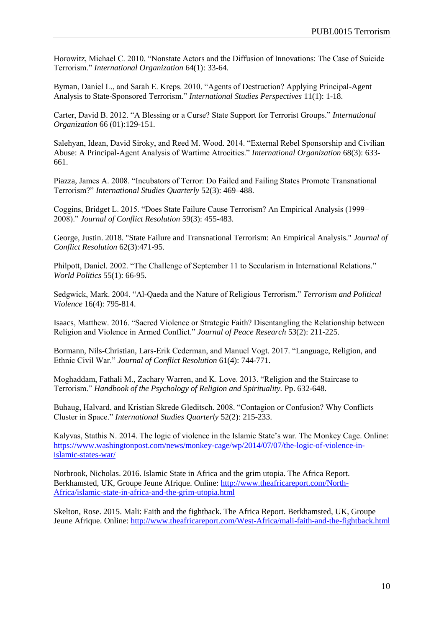Horowitz, Michael C. 2010. "Nonstate Actors and the Diffusion of Innovations: The Case of Suicide Terrorism." *International Organization* 64(1): 33-64.

Byman, Daniel L., and Sarah E. Kreps. 2010. "Agents of Destruction? Applying Principal-Agent Analysis to State-Sponsored Terrorism." *International Studies Perspectives* 11(1): 1-18.

Carter, David B. 2012. "A Blessing or a Curse? State Support for Terrorist Groups." *International Organization* 66 (01):129-151.

Salehyan, Idean, David Siroky, and Reed M. Wood. 2014. "External Rebel Sponsorship and Civilian Abuse: A Principal-Agent Analysis of Wartime Atrocities." *International Organization* 68(3): 633- 661.

Piazza, James A. 2008. "Incubators of Terror: Do Failed and Failing States Promote Transnational Terrorism?" *International Studies Quarterly* 52(3): 469–488.

Coggins, Bridget L. 2015. "Does State Failure Cause Terrorism? An Empirical Analysis (1999– 2008)." *Journal of Conflict Resolution* 59(3): 455-483.

George, Justin. 2018. "State Failure and Transnational Terrorism: An Empirical Analysis." *Journal of Conflict Resolution* 62(3):471-95.

Philpott, Daniel. 2002. "The Challenge of September 11 to Secularism in International Relations." *World Politics* 55(1): 66-95.

Sedgwick, Mark. 2004. "Al-Qaeda and the Nature of Religious Terrorism." *Terrorism and Political Violence* 16(4): 795-814.

Isaacs, Matthew. 2016. "Sacred Violence or Strategic Faith? Disentangling the Relationship between Religion and Violence in Armed Conflict." *Journal of Peace Research* 53(2): 211-225.

Bormann, Nils-Christian, Lars-Erik Cederman, and Manuel Vogt. 2017. "Language, Religion, and Ethnic Civil War." *Journal of Conflict Resolution* 61(4): 744-771.

Moghaddam, Fathali M., Zachary Warren, and K. Love. 2013. "Religion and the Staircase to Terrorism." *Handbook of the Psychology of Religion and Spirituality.* Pp. 632-648.

Buhaug, Halvard, and Kristian Skrede Gleditsch. 2008. "Contagion or Confusion? Why Conflicts Cluster in Space." *International Studies Quarterly* 52(2): 215-233.

Kalyvas, Stathis N. 2014. The logic of violence in the Islamic State's war. The Monkey Cage. Online: [https://www.washingtonpost.com/news/monkey-cage/wp/2014/07/07/the-logic-of-violence-in](https://www.washingtonpost.com/news/monkey-cage/wp/2014/07/07/the-logic-of-violence-in-islamic-states-war/)[islamic-states-war/](https://www.washingtonpost.com/news/monkey-cage/wp/2014/07/07/the-logic-of-violence-in-islamic-states-war/)

Norbrook, Nicholas. 2016. Islamic State in Africa and the grim utopia. The Africa Report. Berkhamsted, UK, Groupe Jeune Afrique. Online: [http://www.theafricareport.com/North-](http://www.theafricareport.com/North-Africa/islamic-state-in-africa-and-the-grim-utopia.html)[Africa/islamic-state-in-africa-and-the-grim-utopia.html](http://www.theafricareport.com/North-Africa/islamic-state-in-africa-and-the-grim-utopia.html)

Skelton, Rose. 2015. Mali: Faith and the fightback. The Africa Report. Berkhamsted, UK, Groupe Jeune Afrique. Online:<http://www.theafricareport.com/West-Africa/mali-faith-and-the-fightback.html>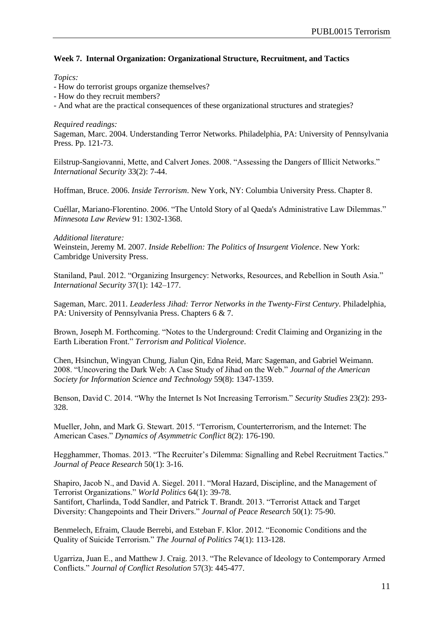# **Week 7. Internal Organization: Organizational Structure, Recruitment, and Tactics**

*Topics:*

- How do terrorist groups organize themselves?
- How do they recruit members?
- And what are the practical consequences of these organizational structures and strategies?

### *Required readings:*

Sageman, Marc. 2004. Understanding Terror Networks. Philadelphia, PA: University of Pennsylvania Press. Pp. 121-73.

Eilstrup-Sangiovanni, Mette, and Calvert Jones. 2008. "Assessing the Dangers of Illicit Networks." *International Security* 33(2): 7-44.

Hoffman, Bruce. 2006. *Inside Terrorism*. New York, NY: Columbia University Press. Chapter 8.

Cuéllar, Mariano-Florentino. 2006. "The Untold Story of al Qaeda's Administrative Law Dilemmas." *Minnesota Law Review* 91: 1302-1368.

*Additional literature:*

Weinstein, Jeremy M. 2007. *Inside Rebellion: The Politics of Insurgent Violence*. New York: Cambridge University Press.

Staniland, Paul. 2012. "Organizing Insurgency: Networks, Resources, and Rebellion in South Asia." *International Security* 37(1): 142–177.

Sageman, Marc. 2011. *Leaderless Jihad: Terror Networks in the Twenty-First Century*. Philadelphia, PA: University of Pennsylvania Press. Chapters 6 & 7.

Brown, Joseph M. Forthcoming. "Notes to the Underground: Credit Claiming and Organizing in the Earth Liberation Front." *Terrorism and Political Violence*.

Chen, Hsinchun, Wingyan Chung, Jialun Qin, Edna Reid, Marc Sageman, and Gabriel Weimann. 2008. "Uncovering the Dark Web: A Case Study of Jihad on the Web." *Journal of the American Society for Information Science and Technology* 59(8): 1347-1359.

Benson, David C. 2014. "Why the Internet Is Not Increasing Terrorism." *Security Studies* 23(2): 293- 328.

Mueller, John, and Mark G. Stewart. 2015. "Terrorism, Counterterrorism, and the Internet: The American Cases." *Dynamics of Asymmetric Conflict* 8(2): 176-190.

Hegghammer, Thomas. 2013. "The Recruiter's Dilemma: Signalling and Rebel Recruitment Tactics." *Journal of Peace Research* 50(1): 3-16.

Shapiro, Jacob N., and David A. Siegel. 2011. "Moral Hazard, Discipline, and the Management of Terrorist Organizations." *World Politics* 64(1): 39-78. Santifort, Charlinda, Todd Sandler, and Patrick T. Brandt. 2013. "Terrorist Attack and Target Diversity: Changepoints and Their Drivers." *Journal of Peace Research* 50(1): 75-90.

Benmelech, Efraim, Claude Berrebi, and Esteban F. Klor. 2012. "Economic Conditions and the Quality of Suicide Terrorism." *The Journal of Politics* 74(1): 113-128.

Ugarriza, Juan E., and Matthew J. Craig. 2013. "The Relevance of Ideology to Contemporary Armed Conflicts." *Journal of Conflict Resolution* 57(3): 445-477.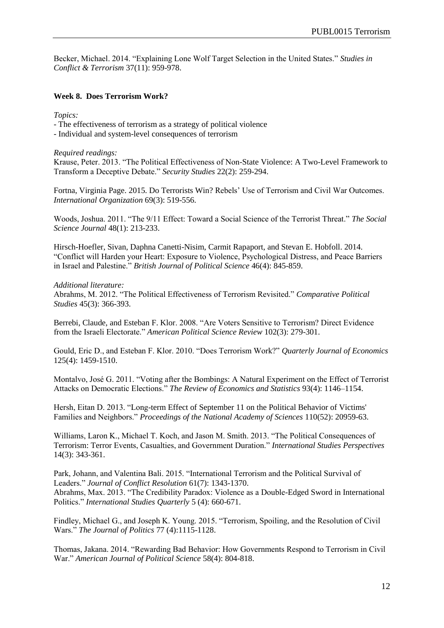Becker, Michael. 2014. "Explaining Lone Wolf Target Selection in the United States." *Studies in Conflict & Terrorism* 37(11): 959-978.

# **Week 8. Does Terrorism Work?**

*Topics:*

- The effectiveness of terrorism as a strategy of political violence

- Individual and system-level consequences of terrorism

### *Required readings:*

Krause, Peter. 2013. "The Political Effectiveness of Non-State Violence: A Two-Level Framework to Transform a Deceptive Debate." *Security Studies* 22(2): 259-294.

Fortna, Virginia Page. 2015. Do Terrorists Win? Rebels' Use of Terrorism and Civil War Outcomes. *International Organization* 69(3): 519-556.

Woods, Joshua. 2011. "The 9/11 Effect: Toward a Social Science of the Terrorist Threat." *The Social Science Journal* 48(1): 213-233.

Hirsch-Hoefler, Sivan, Daphna Canetti-Nisim, Carmit Rapaport, and Stevan E. Hobfoll. 2014. "Conflict will Harden your Heart: Exposure to Violence, Psychological Distress, and Peace Barriers in Israel and Palestine." *British Journal of Political Science* 46(4): 845-859.

#### *Additional literature:*

Abrahms, M. 2012. "The Political Effectiveness of Terrorism Revisited." *Comparative Political Studies* 45(3): 366-393.

Berrebi, Claude, and Esteban F. Klor. 2008. "Are Voters Sensitive to Terrorism? Direct Evidence from the Israeli Electorate." *American Political Science Review* 102(3): 279-301.

Gould, Eric D., and Esteban F. Klor. 2010. "Does Terrorism Work?" *Quarterly Journal of Economics* 125(4): 1459-1510.

Montalvo, José G. 2011. "Voting after the Bombings: A Natural Experiment on the Effect of Terrorist Attacks on Democratic Elections." *The Review of Economics and Statistics* 93(4): 1146–1154.

Hersh, Eitan D. 2013. "Long-term Effect of September 11 on the Political Behavior of Victims' Families and Neighbors." *Proceedings of the National Academy of Sciences* 110(52): 20959-63.

Williams, Laron K., Michael T. Koch, and Jason M. Smith. 2013. "The Political Consequences of Terrorism: Terror Events, Casualties, and Government Duration." *International Studies Perspectives* 14(3): 343-361.

Park, Johann, and Valentina Bali. 2015. "International Terrorism and the Political Survival of Leaders." *Journal of Conflict Resolution* 61(7): 1343-1370. Abrahms, Max. 2013. "The Credibility Paradox: Violence as a Double-Edged Sword in International Politics." *International Studies Quarterly* 5 (4): 660-671.

Findley, Michael G., and Joseph K. Young. 2015. "Terrorism, Spoiling, and the Resolution of Civil Wars." *The Journal of Politics* 77 (4):1115-1128.

Thomas, Jakana. 2014. "Rewarding Bad Behavior: How Governments Respond to Terrorism in Civil War." *American Journal of Political Science* 58(4): 804-818.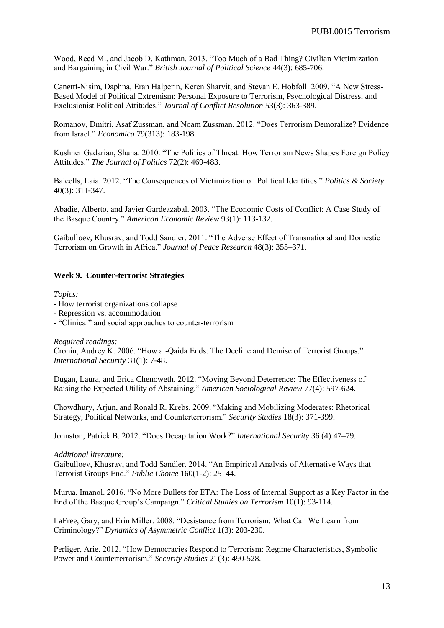Wood, Reed M., and Jacob D. Kathman. 2013. "Too Much of a Bad Thing? Civilian Victimization and Bargaining in Civil War." *British Journal of Political Science* 44(3): 685-706.

Canetti-Nisim, Daphna, Eran Halperin, Keren Sharvit, and Stevan E. Hobfoll. 2009. "A New Stress-Based Model of Political Extremism: Personal Exposure to Terrorism, Psychological Distress, and Exclusionist Political Attitudes." *Journal of Conflict Resolution* 53(3): 363-389.

Romanov, Dmitri, Asaf Zussman, and Noam Zussman. 2012. "Does Terrorism Demoralize? Evidence from Israel." *Economica* 79(313): 183-198.

Kushner Gadarian, Shana. 2010. "The Politics of Threat: How Terrorism News Shapes Foreign Policy Attitudes." *The Journal of Politics* 72(2): 469-483.

Balcells, Laia. 2012. "The Consequences of Victimization on Political Identities." *Politics & Society* 40(3): 311-347.

Abadie, Alberto, and Javier Gardeazabal. 2003. "The Economic Costs of Conflict: A Case Study of the Basque Country." *American Economic Review* 93(1): 113-132.

Gaibulloev, Khusrav, and Todd Sandler. 2011. "The Adverse Effect of Transnational and Domestic Terrorism on Growth in Africa." *Journal of Peace Research* 48(3): 355–371.

## **Week 9. Counter-terrorist Strategies**

#### *Topics:*

- How terrorist organizations collapse
- Repression vs. accommodation
- "Clinical" and social approaches to counter-terrorism

*Required readings:*

Cronin, Audrey K. 2006. "How al-Qaida Ends: The Decline and Demise of Terrorist Groups." *International Security* 31(1): 7-48.

Dugan, Laura, and Erica Chenoweth. 2012. "Moving Beyond Deterrence: The Effectiveness of Raising the Expected Utility of Abstaining." *American Sociological Review* 77(4): 597-624.

Chowdhury, Arjun, and Ronald R. Krebs. 2009. "Making and Mobilizing Moderates: Rhetorical Strategy, Political Networks, and Counterterrorism." *Security Studies* 18(3): 371-399.

Johnston, Patrick B. 2012. "Does Decapitation Work?" *International Security* 36 (4):47–79.

#### *Additional literature:*

Gaibulloev, Khusrav, and Todd Sandler. 2014. "An Empirical Analysis of Alternative Ways that Terrorist Groups End." *Public Choice* 160(1-2): 25–44.

Murua, Imanol. 2016. "No More Bullets for ETA: The Loss of Internal Support as a Key Factor in the End of the Basque Group's Campaign." *Critical Studies on Terrorism* 10(1): 93-114.

LaFree, Gary, and Erin Miller. 2008. "Desistance from Terrorism: What Can We Learn from Criminology?" *Dynamics of Asymmetric Conflict* 1(3): 203-230.

Perliger, Arie. 2012. "How Democracies Respond to Terrorism: Regime Characteristics, Symbolic Power and Counterterrorism." *Security Studies* 21(3): 490-528.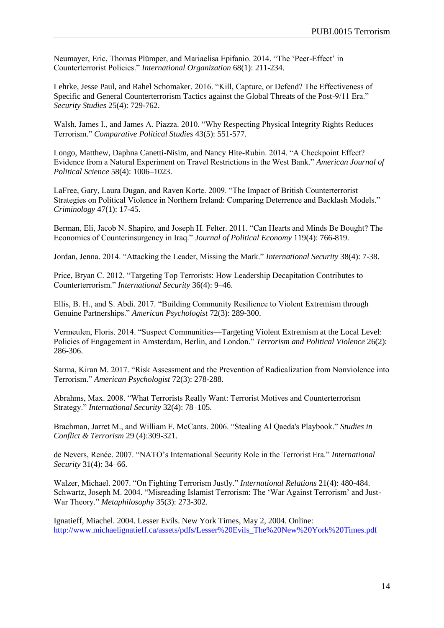Neumayer, Eric, Thomas Plümper, and Mariaelisa Epifanio. 2014. "The 'Peer-Effect' in Counterterrorist Policies." *International Organization* 68(1): 211-234.

Lehrke, Jesse Paul, and Rahel Schomaker. 2016. "Kill, Capture, or Defend? The Effectiveness of Specific and General Counterterrorism Tactics against the Global Threats of the Post-9/11 Era." *Security Studies* 25(4): 729-762.

Walsh, James I., and James A. Piazza. 2010. "Why Respecting Physical Integrity Rights Reduces Terrorism." *Comparative Political Studies* 43(5): 551-577.

Longo, Matthew, Daphna Canetti-Nisim, and Nancy Hite-Rubin. 2014. "A Checkpoint Effect? Evidence from a Natural Experiment on Travel Restrictions in the West Bank." *American Journal of Political Science* 58(4): 1006–1023.

LaFree, Gary, Laura Dugan, and Raven Korte. 2009. "The Impact of British Counterterrorist Strategies on Political Violence in Northern Ireland: Comparing Deterrence and Backlash Models." *Criminology* 47(1): 17-45.

Berman, Eli, Jacob N. Shapiro, and Joseph H. Felter. 2011. "Can Hearts and Minds Be Bought? The Economics of Counterinsurgency in Iraq." *Journal of Political Economy* 119(4): 766-819.

Jordan, Jenna. 2014. "Attacking the Leader, Missing the Mark." *International Security* 38(4): 7-38.

Price, Bryan C. 2012. "Targeting Top Terrorists: How Leadership Decapitation Contributes to Counterterrorism." *International Security* 36(4): 9–46.

Ellis, B. H., and S. Abdi. 2017. "Building Community Resilience to Violent Extremism through Genuine Partnerships." *American Psychologist* 72(3): 289-300.

Vermeulen, Floris. 2014. "Suspect Communities—Targeting Violent Extremism at the Local Level: Policies of Engagement in Amsterdam, Berlin, and London." *Terrorism and Political Violence* 26(2): 286-306.

Sarma, Kiran M. 2017. "Risk Assessment and the Prevention of Radicalization from Nonviolence into Terrorism." *American Psychologist* 72(3): 278-288.

Abrahms, Max. 2008. "What Terrorists Really Want: Terrorist Motives and Counterterrorism Strategy." *International Security* 32(4): 78–105.

Brachman, Jarret M., and William F. McCants. 2006. "Stealing Al Qaeda's Playbook." *Studies in Conflict & Terrorism* 29 (4):309-321.

de Nevers, Renée. 2007. "NATO's International Security Role in the Terrorist Era." *International Security* 31(4): 34–66.

Walzer, Michael. 2007. "On Fighting Terrorism Justly." *International Relations* 21(4): 480-484. Schwartz, Joseph M. 2004. "Misreading Islamist Terrorism: The 'War Against Terrorism' and Just-War Theory." *Metaphilosophy* 35(3): 273-302.

Ignatieff, Miachel. 2004. Lesser Evils. New York Times, May 2, 2004. Online: [http://www.michaelignatieff.ca/assets/pdfs/Lesser%20Evils\\_The%20New%20York%20Times.pdf](http://www.michaelignatieff.ca/assets/pdfs/Lesser%20Evils_The%20New%20York%20Times.pdf)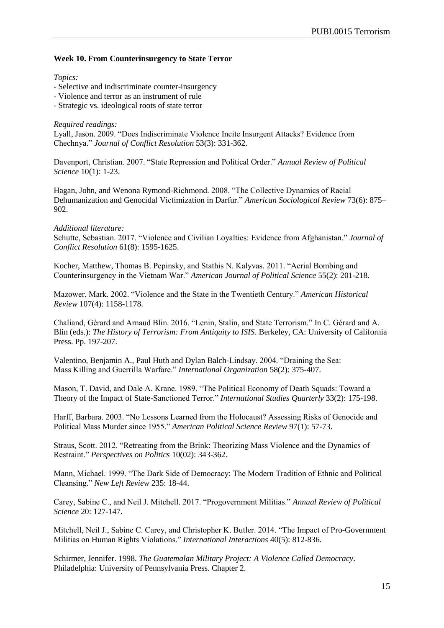# **Week 10. From Counterinsurgency to State Terror**

*Topics:*

- Selective and indiscriminate counter-insurgency
- Violence and terror as an instrument of rule
- Strategic vs. ideological roots of state terror

## *Required readings:*

Lyall, Jason. 2009. "Does Indiscriminate Violence Incite Insurgent Attacks? Evidence from Chechnya." *Journal of Conflict Resolution* 53(3): 331-362.

Davenport, Christian. 2007. "State Repression and Political Order." *Annual Review of Political Science* 10(1): 1-23.

Hagan, John, and Wenona Rymond-Richmond. 2008. "The Collective Dynamics of Racial Dehumanization and Genocidal Victimization in Darfur." *American Sociological Review* 73(6): 875– 902.

## *Additional literature:*

Schutte, Sebastian. 2017. "Violence and Civilian Loyalties: Evidence from Afghanistan." *Journal of Conflict Resolution* 61(8): 1595-1625.

Kocher, Matthew, Thomas B. Pepinsky, and Stathis N. Kalyvas. 2011. "Aerial Bombing and Counterinsurgency in the Vietnam War." *American Journal of Political Science* 55(2): 201-218.

Mazower, Mark. 2002. "Violence and the State in the Twentieth Century." *American Historical Review* 107(4): 1158-1178.

Chaliand, Gérard and Arnaud Blin. 2016. "Lenin, Stalin, and State Terrorism." In C. Gérard and A. Blin (eds.): *The History of Terrorism: From Antiquity to ISIS*. Berkeley, CA: University of California Press. Pp. 197-207.

Valentino, Benjamin A., Paul Huth and Dylan Balch-Lindsay. 2004. "Draining the Sea: Mass Killing and Guerrilla Warfare." *International Organization* 58(2): 375-407.

Mason, T. David, and Dale A. Krane. 1989. "The Political Economy of Death Squads: Toward a Theory of the Impact of State-Sanctioned Terror." *International Studies Quarterly* 33(2): 175-198.

Harff, Barbara. 2003. "No Lessons Learned from the Holocaust? Assessing Risks of Genocide and Political Mass Murder since 1955." *American Political Science Review* 97(1): 57-73.

Straus, Scott. 2012. "Retreating from the Brink: Theorizing Mass Violence and the Dynamics of Restraint." *Perspectives on Politics* 10(02): 343-362.

Mann, Michael. 1999. "The Dark Side of Democracy: The Modern Tradition of Ethnic and Political Cleansing." *New Left Review* 235: 18-44.

Carey, Sabine C., and Neil J. Mitchell. 2017. "Progovernment Militias." *Annual Review of Political Science* 20: 127-147.

Mitchell, Neil J., Sabine C. Carey, and Christopher K. Butler. 2014. "The Impact of Pro-Government Militias on Human Rights Violations." *International Interactions* 40(5): 812-836.

Schirmer, Jennifer. 1998. *The Guatemalan Military Project: A Violence Called Democracy*. Philadelphia: University of Pennsylvania Press. Chapter 2.